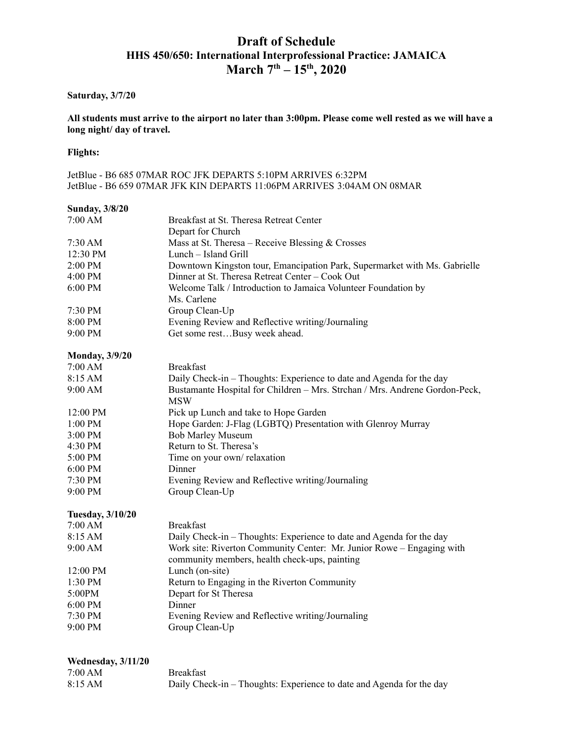# **Draft of Schedule HHS 450/650: International Interprofessional Practice: JAMAICA March 7 th – 15 th , 2020**

### **Saturday, 3/7/20**

**All students must arrive to the airport no later than 3:00pm. Please come well rested as we will have a long night/ day of travel.**

#### **Flights:**

JetBlue - B6 685 07MAR ROC JFK DEPARTS 5:10PM ARRIVES 6:32PM JetBlue - B6 659 07MAR JFK KIN DEPARTS 11:06PM ARRIVES 3:04AM ON 08MAR

| <b>Sunday, 3/8/20</b>   |                                                                                                                        |
|-------------------------|------------------------------------------------------------------------------------------------------------------------|
| 7:00 AM                 | Breakfast at St. Theresa Retreat Center                                                                                |
|                         | Depart for Church                                                                                                      |
| 7:30 AM                 | Mass at St. Theresa – Receive Blessing & Crosses                                                                       |
| 12:30 PM                | Lunch – Island Grill                                                                                                   |
| 2:00 PM                 | Downtown Kingston tour, Emancipation Park, Supermarket with Ms. Gabrielle                                              |
| 4:00 PM                 | Dinner at St. Theresa Retreat Center - Cook Out                                                                        |
| 6:00 PM                 | Welcome Talk / Introduction to Jamaica Volunteer Foundation by<br>Ms. Carlene                                          |
| 7:30 PM                 | Group Clean-Up                                                                                                         |
| 8:00 PM                 | Evening Review and Reflective writing/Journaling                                                                       |
| 9:00 PM                 | Get some restBusy week ahead.                                                                                          |
| <b>Monday</b> , 3/9/20  |                                                                                                                        |
| 7:00 AM                 | <b>Breakfast</b>                                                                                                       |
| 8:15 AM                 | Daily Check-in – Thoughts: Experience to date and Agenda for the day                                                   |
| 9:00 AM                 | Bustamante Hospital for Children - Mrs. Strchan / Mrs. Andrene Gordon-Peck,<br><b>MSW</b>                              |
| 12:00 PM                | Pick up Lunch and take to Hope Garden                                                                                  |
| $1:00$ PM               | Hope Garden: J-Flag (LGBTQ) Presentation with Glenroy Murray                                                           |
| $3:00 \text{ PM}$       | <b>Bob Marley Museum</b>                                                                                               |
| 4:30 PM                 | Return to St. Theresa's                                                                                                |
| 5:00 PM                 | Time on your own/relaxation                                                                                            |
| $6:00$ PM               | Dinner                                                                                                                 |
| 7:30 PM                 | Evening Review and Reflective writing/Journaling                                                                       |
| 9:00 PM                 | Group Clean-Up                                                                                                         |
| <b>Tuesday, 3/10/20</b> |                                                                                                                        |
| 7:00 AM                 | <b>Breakfast</b>                                                                                                       |
| 8:15 AM                 | Daily Check-in – Thoughts: Experience to date and Agenda for the day                                                   |
| 9:00 AM                 | Work site: Riverton Community Center: Mr. Junior Rowe - Engaging with<br>community members, health check-ups, painting |
| 12:00 PM                | Lunch (on-site)                                                                                                        |
| 1:30 PM                 | Return to Engaging in the Riverton Community                                                                           |
| 5:00PM                  | Depart for St Theresa                                                                                                  |
| $6:00$ PM               | Dinner                                                                                                                 |
| 7:30 PM                 | Evening Review and Reflective writing/Journaling                                                                       |
| 9:00 PM                 | Group Clean-Up                                                                                                         |
| Wednesday, 3/11/20      |                                                                                                                        |
| 7:00 AM                 | <b>Breakfast</b>                                                                                                       |
| 8:15 AM                 | Daily Check-in – Thoughts: Experience to date and Agenda for the day                                                   |